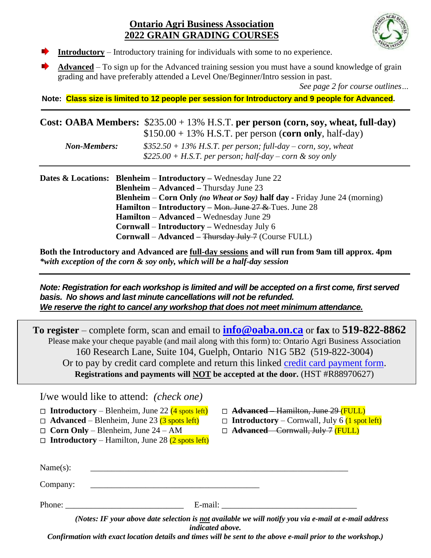#### **Ontario Agri Business Association 2022 GRAIN GRADING COURSES**



- **Introductory** Introductory training for individuals with some to no experience.
- **Advanced** To sign up for the Advanced training session you must have a sound knowledge of grain grading and have preferably attended a Level One/Beginner/Intro session in past.

*See page 2 for course outlines…*

**Note: Class size is limited to 12 people per session for Introductory and 9 people for Advanced.**

|                     | Cost: OABA Members: $$235.00 + 13\%$ H.S.T. per person (corn, soy, wheat, full-day)                                         |
|---------------------|-----------------------------------------------------------------------------------------------------------------------------|
|                     | $$150.00 + 13\%$ H.S.T. per person (corn only, half-day)                                                                    |
| <b>Non-Members:</b> | $$352.50 + 13\%$ H.S.T. per person; full-day – corn, soy, wheat<br>\$225.00 + H.S.T. per person; half-day – corn & soy only |

| <b>Dates &amp; Locations:</b> Blenheim – Introductory – Wednesday June 22           |  |  |  |
|-------------------------------------------------------------------------------------|--|--|--|
| <b>Blenheim – Advanced – Thursday June 23</b>                                       |  |  |  |
| <b>Blenheim – Corn Only (no Wheat or Soy) half day - Friday June 24 (morning)</b>   |  |  |  |
| <b>Hamilton</b> – <b>Introductory</b> – <del>Mon. June 27 &amp;</del> Tues. June 28 |  |  |  |
| <b>Hamilton</b> – Advanced – Wednesday June 29                                      |  |  |  |
| <b>Cornwall – Introductory – Wednesday July 6</b>                                   |  |  |  |
| <b>Cornwall</b> – Advanced – Thursday July 7 (Course FULL)                          |  |  |  |
|                                                                                     |  |  |  |

**Both the Introductory and Advanced are full-day sessions and will run from 9am till approx. 4pm** *\*with exception of the corn & soy only, which will be a half-day session*

*Note: Registration for each workshop is limited and will be accepted on a first come, first served basis. No shows and last minute cancellations will not be refunded. We reserve the right to cancel any workshop that does not meet minimum attendance.*

**To register** – complete form, scan and email to **[info@oaba.on.ca](mailto:info@oaba.on.ca)** or **fax** to **519-822-8862**  Please make your cheque payable (and mail along with this form) to: Ontario Agri Business Association 160 Research Lane, Suite 104, Guelph, Ontario N1G 5B2 (519-822-3004) Or to pay by credit card complete and return this linked [credit card payment form.](http://www.oaba.on.ca/downloads/Credit%20Card%20Payment%20form.pdf) **Registrations and payments will NOT be accepted at the door.** (HST #R88970627)

I/we would like to attend: *(check one)* 

|      |  |  |  | $\Box$ Introductory – Blenheim, June 22 (4 spots left) | $\Box$ |
|------|--|--|--|--------------------------------------------------------|--------|
| - 11 |  |  |  |                                                        |        |

 $\Box$  **Advanced** – Blenheim, June 23 (3 spots left)

- **Corn Only** Blenheim, June 24 AM
- $\Box$  **Introductory** Hamilton, June 28 (2 spots left)
- **Advanced** Hamilton, June 29 (FULL)
- $\Box$  **Introductory** Cornwall, July 6 (1 spot left)
- **Advanced** Cornwall, July 7 (FULL)

| Name(s): |         |  |
|----------|---------|--|
| Company: |         |  |
| Phone:   | E-mail: |  |

 *(Notes: IF your above date selection is not available we will notify you via e-mail at e-mail address indicated above.* 

*Confirmation with exact location details and times will be sent to the above e-mail prior to the workshop.)*